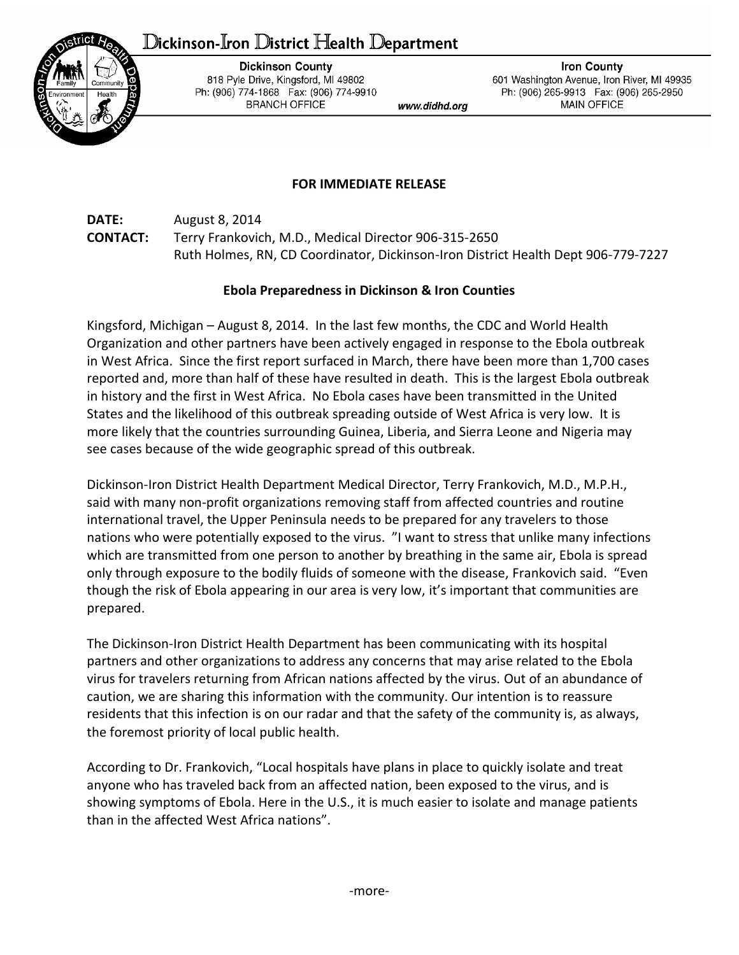## ${\mathbb D}$ ickinson-Iron  ${\mathbb D}$ istrict Health  ${\mathbb D}$ epartment



**Dickinson County** 818 Pyle Drive, Kingsford, MI 49802 Ph: (906) 774-1868 Fax: (906) 774-9910 **BRANCH OFFICE** 

www.didhd.org

**Iron County** 601 Washington Avenue, Iron River, MI 49935 Ph: (906) 265-9913 Fax: (906) 265-2950 **MAIN OFFICE** 

## **FOR IMMEDIATE RELEASE**

**DATE:** August 8, 2014 **CONTACT:** Terry Frankovich, M.D., Medical Director 906-315-2650 Ruth Holmes, RN, CD Coordinator, Dickinson-Iron District Health Dept 906-779-7227

## **Ebola Preparedness in Dickinson & Iron Counties**

Kingsford, Michigan – August 8, 2014. In the last few months, the CDC and World Health Organization and other partners have been actively engaged in response to the Ebola outbreak in West Africa. Since the first report surfaced in March, there have been more than 1,700 cases reported and, more than half of these have resulted in death. This is the largest Ebola outbreak in history and the first in West Africa. No Ebola cases have been transmitted in the United States and the likelihood of this outbreak spreading outside of West Africa is very low. It is more likely that the countries surrounding Guinea, Liberia, and Sierra Leone and Nigeria may see cases because of the wide geographic spread of this outbreak.

Dickinson-Iron District Health Department Medical Director, Terry Frankovich, M.D., M.P.H., said with many non-profit organizations removing staff from affected countries and routine international travel, the Upper Peninsula needs to be prepared for any travelers to those nations who were potentially exposed to the virus. "I want to stress that unlike many infections which are transmitted from one person to another by breathing in the same air, Ebola is spread only through exposure to the bodily fluids of someone with the disease, Frankovich said. "Even though the risk of Ebola appearing in our area is very low, it's important that communities are prepared.

The Dickinson-Iron District Health Department has been communicating with its hospital partners and other organizations to address any concerns that may arise related to the Ebola virus for travelers returning from African nations affected by the virus. Out of an abundance of caution, we are sharing this information with the community. Our intention is to reassure residents that this infection is on our radar and that the safety of the community is, as always, the foremost priority of local public health.

According to Dr. Frankovich, "Local hospitals have plans in place to quickly isolate and treat anyone who has traveled back from an affected nation, been exposed to the virus, and is showing symptoms of Ebola. Here in the U.S., it is much easier to isolate and manage patients than in the affected West Africa nations".